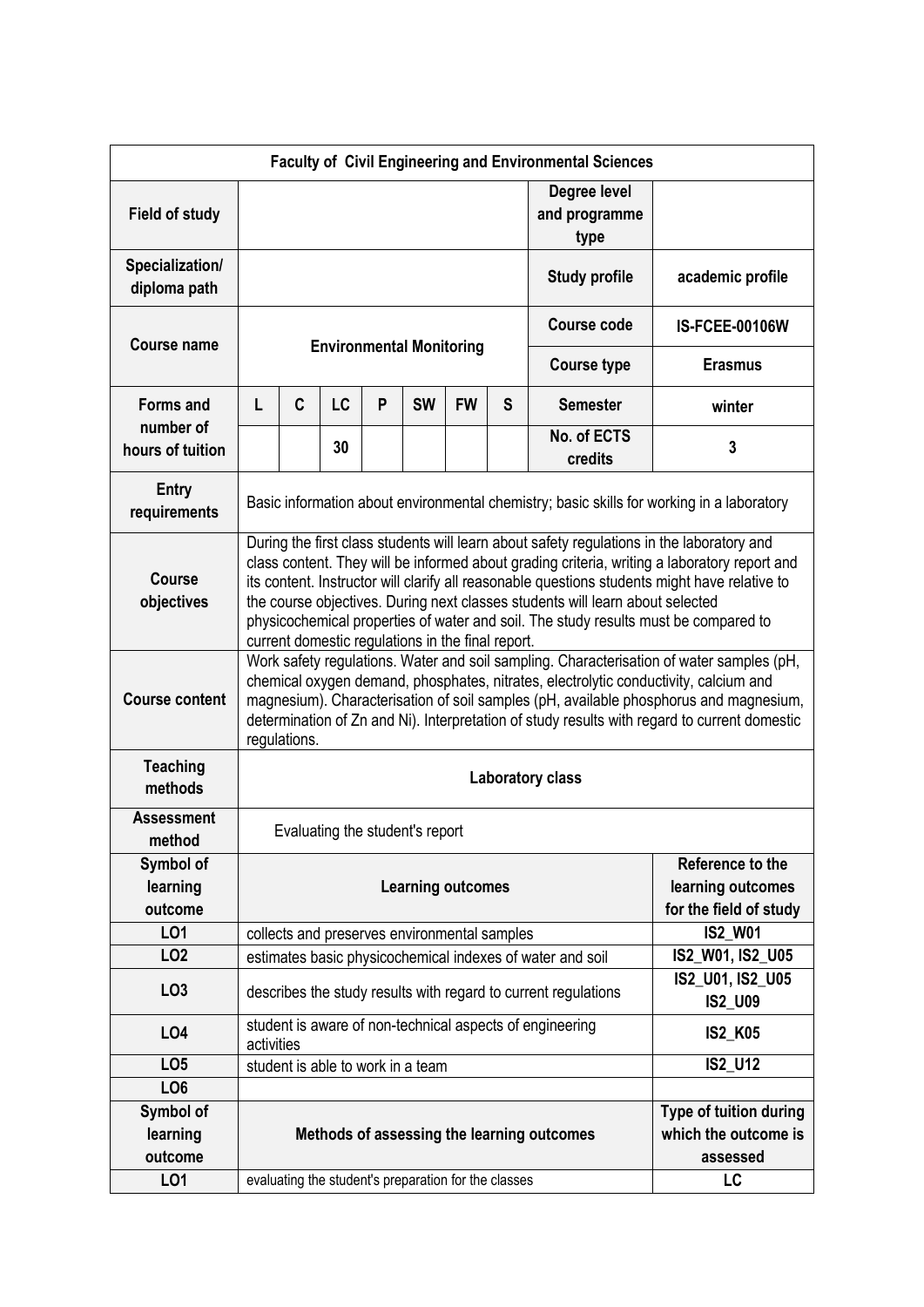| <b>Faculty of Civil Engineering and Environmental Sciences</b> |                                                                                                                                                                                                                                                                                                                                                                                                                                                                                                                         |   |                                   |   |                      |                                                                 |                                       |                                                           |                        |
|----------------------------------------------------------------|-------------------------------------------------------------------------------------------------------------------------------------------------------------------------------------------------------------------------------------------------------------------------------------------------------------------------------------------------------------------------------------------------------------------------------------------------------------------------------------------------------------------------|---|-----------------------------------|---|----------------------|-----------------------------------------------------------------|---------------------------------------|-----------------------------------------------------------|------------------------|
| <b>Field of study</b>                                          |                                                                                                                                                                                                                                                                                                                                                                                                                                                                                                                         |   |                                   |   |                      |                                                                 | Degree level<br>and programme<br>type |                                                           |                        |
| Specialization/<br>diploma path                                |                                                                                                                                                                                                                                                                                                                                                                                                                                                                                                                         |   |                                   |   |                      |                                                                 |                                       | <b>Study profile</b>                                      | academic profile       |
| <b>Course name</b>                                             | <b>Environmental Monitoring</b>                                                                                                                                                                                                                                                                                                                                                                                                                                                                                         |   |                                   |   |                      |                                                                 |                                       | <b>Course code</b>                                        | <b>IS-FCEE-00106W</b>  |
|                                                                |                                                                                                                                                                                                                                                                                                                                                                                                                                                                                                                         |   |                                   |   |                      |                                                                 |                                       | <b>Course type</b>                                        | <b>Erasmus</b>         |
| <b>Forms and</b><br>number of                                  | L                                                                                                                                                                                                                                                                                                                                                                                                                                                                                                                       | C | LC                                | P | <b>SW</b>            | <b>FW</b>                                                       | S                                     | <b>Semester</b>                                           | winter                 |
| hours of tuition                                               |                                                                                                                                                                                                                                                                                                                                                                                                                                                                                                                         |   | 30                                |   |                      |                                                                 |                                       | No. of ECTS<br>credits                                    | 3                      |
| <b>Entry</b><br>requirements                                   | Basic information about environmental chemistry; basic skills for working in a laboratory                                                                                                                                                                                                                                                                                                                                                                                                                               |   |                                   |   |                      |                                                                 |                                       |                                                           |                        |
| <b>Course</b><br>objectives                                    | During the first class students will learn about safety regulations in the laboratory and<br>class content. They will be informed about grading criteria, writing a laboratory report and<br>its content. Instructor will clarify all reasonable questions students might have relative to<br>the course objectives. During next classes students will learn about selected<br>physicochemical properties of water and soil. The study results must be compared to<br>current domestic regulations in the final report. |   |                                   |   |                      |                                                                 |                                       |                                                           |                        |
| <b>Course content</b>                                          | Work safety regulations. Water and soil sampling. Characterisation of water samples (pH,<br>chemical oxygen demand, phosphates, nitrates, electrolytic conductivity, calcium and<br>magnesium). Characterisation of soil samples (pH, available phosphorus and magnesium,<br>determination of Zn and Ni). Interpretation of study results with regard to current domestic<br>regulations.                                                                                                                               |   |                                   |   |                      |                                                                 |                                       |                                                           |                        |
| <b>Teaching</b><br>methods                                     | <b>Laboratory class</b>                                                                                                                                                                                                                                                                                                                                                                                                                                                                                                 |   |                                   |   |                      |                                                                 |                                       |                                                           |                        |
| <b>Assessment</b><br>method                                    | Evaluating the student's report                                                                                                                                                                                                                                                                                                                                                                                                                                                                                         |   |                                   |   |                      |                                                                 |                                       |                                                           |                        |
| Symbol of<br>learning<br>outcome                               | <b>Learning outcomes</b>                                                                                                                                                                                                                                                                                                                                                                                                                                                                                                |   |                                   |   |                      | Reference to the<br>learning outcomes<br>for the field of study |                                       |                                                           |                        |
| <b>LO1</b>                                                     | collects and preserves environmental samples                                                                                                                                                                                                                                                                                                                                                                                                                                                                            |   |                                   |   |                      |                                                                 |                                       | <b>IS2_W01</b>                                            |                        |
| LO <sub>2</sub>                                                |                                                                                                                                                                                                                                                                                                                                                                                                                                                                                                                         |   |                                   |   |                      |                                                                 |                                       | estimates basic physicochemical indexes of water and soil | IS2_W01, IS2_U05       |
| LO <sub>3</sub>                                                | IS2 U01, IS2 U05<br>describes the study results with regard to current regulations<br><b>IS2 U09</b>                                                                                                                                                                                                                                                                                                                                                                                                                    |   |                                   |   |                      |                                                                 |                                       |                                                           |                        |
| LO <sub>4</sub>                                                | activities                                                                                                                                                                                                                                                                                                                                                                                                                                                                                                              |   |                                   |   |                      |                                                                 |                                       | student is aware of non-technical aspects of engineering  | <b>IS2_K05</b>         |
| LO <sub>5</sub>                                                |                                                                                                                                                                                                                                                                                                                                                                                                                                                                                                                         |   | student is able to work in a team |   |                      |                                                                 |                                       |                                                           | <b>IS2_U12</b>         |
| LO <sub>6</sub>                                                |                                                                                                                                                                                                                                                                                                                                                                                                                                                                                                                         |   |                                   |   |                      |                                                                 |                                       |                                                           |                        |
| Symbol of                                                      |                                                                                                                                                                                                                                                                                                                                                                                                                                                                                                                         |   |                                   |   |                      |                                                                 |                                       |                                                           | Type of tuition during |
| learning                                                       | Methods of assessing the learning outcomes                                                                                                                                                                                                                                                                                                                                                                                                                                                                              |   |                                   |   | which the outcome is |                                                                 |                                       |                                                           |                        |
| outcome                                                        |                                                                                                                                                                                                                                                                                                                                                                                                                                                                                                                         |   |                                   |   |                      |                                                                 |                                       |                                                           | assessed               |
| LO1                                                            |                                                                                                                                                                                                                                                                                                                                                                                                                                                                                                                         |   |                                   |   |                      | evaluating the student's preparation for the classes            |                                       |                                                           | LC                     |